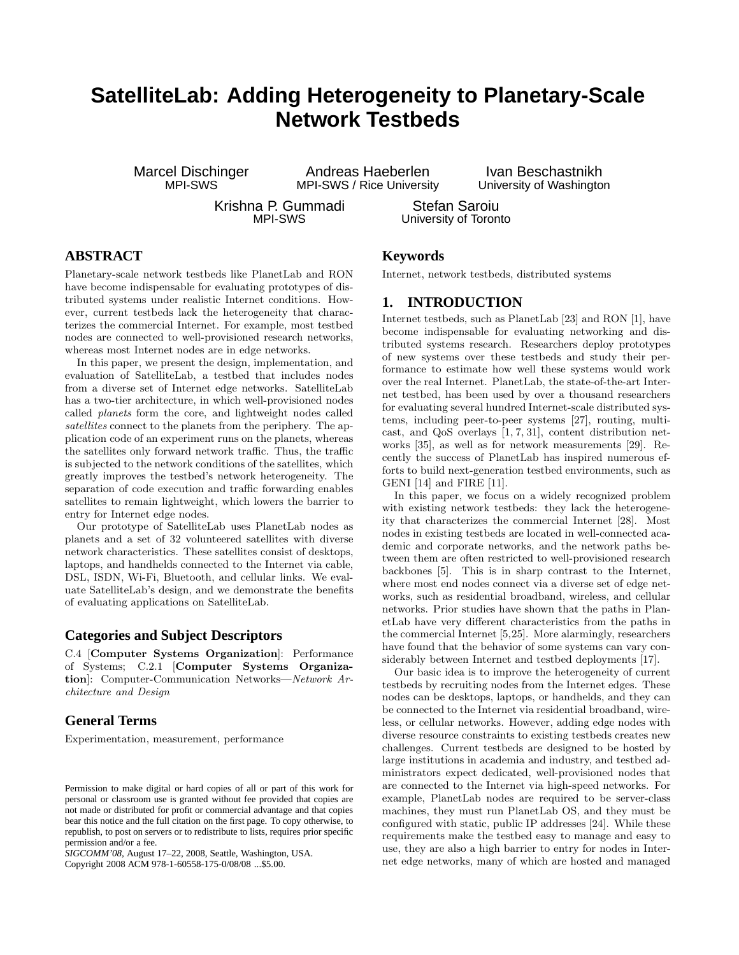# **SatelliteLab: Adding Heterogeneity to Planetary-Scale Network Testbeds**

Marcel Dischinger MPI-SWS

Andreas Haeberlen MPI-SWS / Rice University

Ivan Beschastnikh University of Washington

Krishna P. Gummadi MPI-SWS

Stefan Saroiu University of Toronto

# **ABSTRACT**

Planetary-scale network testbeds like PlanetLab and RON have become indispensable for evaluating prototypes of distributed systems under realistic Internet conditions. However, current testbeds lack the heterogeneity that characterizes the commercial Internet. For example, most testbed nodes are connected to well-provisioned research networks, whereas most Internet nodes are in edge networks.

In this paper, we present the design, implementation, and evaluation of SatelliteLab, a testbed that includes nodes from a diverse set of Internet edge networks. SatelliteLab has a two-tier architecture, in which well-provisioned nodes called planets form the core, and lightweight nodes called satellites connect to the planets from the periphery. The application code of an experiment runs on the planets, whereas the satellites only forward network traffic. Thus, the traffic is subjected to the network conditions of the satellites, which greatly improves the testbed's network heterogeneity. The separation of code execution and traffic forwarding enables satellites to remain lightweight, which lowers the barrier to entry for Internet edge nodes.

Our prototype of SatelliteLab uses PlanetLab nodes as planets and a set of 32 volunteered satellites with diverse network characteristics. These satellites consist of desktops, laptops, and handhelds connected to the Internet via cable, DSL, ISDN, Wi-Fi, Bluetooth, and cellular links. We evaluate SatelliteLab's design, and we demonstrate the benefits of evaluating applications on SatelliteLab.

# **Categories and Subject Descriptors**

C.4 [Computer Systems Organization]: Performance of Systems; C.2.1 [Computer Systems Organization]: Computer-Communication Networks—Network Architecture and Design

# **General Terms**

Experimentation, measurement, performance

*SIGCOMM'08,* August 17–22, 2008, Seattle, Washington, USA. Copyright 2008 ACM 978-1-60558-175-0/08/08 ...\$5.00.

### **Keywords**

Internet, network testbeds, distributed systems

# **1. INTRODUCTION**

Internet testbeds, such as PlanetLab [23] and RON [1], have become indispensable for evaluating networking and distributed systems research. Researchers deploy prototypes of new systems over these testbeds and study their performance to estimate how well these systems would work over the real Internet. PlanetLab, the state-of-the-art Internet testbed, has been used by over a thousand researchers for evaluating several hundred Internet-scale distributed systems, including peer-to-peer systems [27], routing, multicast, and QoS overlays [1, 7, 31], content distribution networks [35], as well as for network measurements [29]. Recently the success of PlanetLab has inspired numerous efforts to build next-generation testbed environments, such as GENI [14] and FIRE [11].

In this paper, we focus on a widely recognized problem with existing network testbeds: they lack the heterogeneity that characterizes the commercial Internet [28]. Most nodes in existing testbeds are located in well-connected academic and corporate networks, and the network paths between them are often restricted to well-provisioned research backbones [5]. This is in sharp contrast to the Internet, where most end nodes connect via a diverse set of edge networks, such as residential broadband, wireless, and cellular networks. Prior studies have shown that the paths in PlanetLab have very different characteristics from the paths in the commercial Internet [5,25]. More alarmingly, researchers have found that the behavior of some systems can vary considerably between Internet and testbed deployments [17].

Our basic idea is to improve the heterogeneity of current testbeds by recruiting nodes from the Internet edges. These nodes can be desktops, laptops, or handhelds, and they can be connected to the Internet via residential broadband, wireless, or cellular networks. However, adding edge nodes with diverse resource constraints to existing testbeds creates new challenges. Current testbeds are designed to be hosted by large institutions in academia and industry, and testbed administrators expect dedicated, well-provisioned nodes that are connected to the Internet via high-speed networks. For example, PlanetLab nodes are required to be server-class machines, they must run PlanetLab OS, and they must be configured with static, public IP addresses [24]. While these requirements make the testbed easy to manage and easy to use, they are also a high barrier to entry for nodes in Internet edge networks, many of which are hosted and managed

Permission to make digital or hard copies of all or part of this work for personal or classroom use is granted without fee provided that copies are not made or distributed for profit or commercial advantage and that copies bear this notice and the full citation on the first page. To copy otherwise, to republish, to post on servers or to redistribute to lists, requires prior specific permission and/or a fee.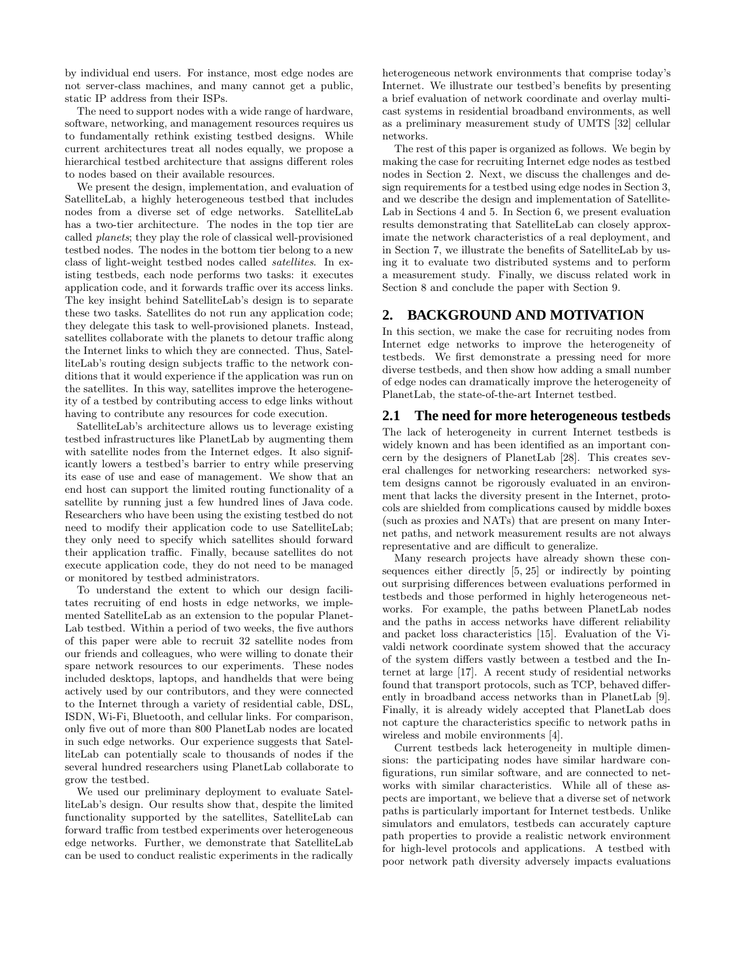by individual end users. For instance, most edge nodes are not server-class machines, and many cannot get a public, static IP address from their ISPs.

The need to support nodes with a wide range of hardware, software, networking, and management resources requires us to fundamentally rethink existing testbed designs. While current architectures treat all nodes equally, we propose a hierarchical testbed architecture that assigns different roles to nodes based on their available resources.

We present the design, implementation, and evaluation of SatelliteLab, a highly heterogeneous testbed that includes nodes from a diverse set of edge networks. SatelliteLab has a two-tier architecture. The nodes in the top tier are called planets; they play the role of classical well-provisioned testbed nodes. The nodes in the bottom tier belong to a new class of light-weight testbed nodes called satellites. In existing testbeds, each node performs two tasks: it executes application code, and it forwards traffic over its access links. The key insight behind SatelliteLab's design is to separate these two tasks. Satellites do not run any application code; they delegate this task to well-provisioned planets. Instead, satellites collaborate with the planets to detour traffic along the Internet links to which they are connected. Thus, SatelliteLab's routing design subjects traffic to the network conditions that it would experience if the application was run on the satellites. In this way, satellites improve the heterogeneity of a testbed by contributing access to edge links without having to contribute any resources for code execution.

SatelliteLab's architecture allows us to leverage existing testbed infrastructures like PlanetLab by augmenting them with satellite nodes from the Internet edges. It also significantly lowers a testbed's barrier to entry while preserving its ease of use and ease of management. We show that an end host can support the limited routing functionality of a satellite by running just a few hundred lines of Java code. Researchers who have been using the existing testbed do not need to modify their application code to use SatelliteLab; they only need to specify which satellites should forward their application traffic. Finally, because satellites do not execute application code, they do not need to be managed or monitored by testbed administrators.

To understand the extent to which our design facilitates recruiting of end hosts in edge networks, we implemented SatelliteLab as an extension to the popular Planet-Lab testbed. Within a period of two weeks, the five authors of this paper were able to recruit 32 satellite nodes from our friends and colleagues, who were willing to donate their spare network resources to our experiments. These nodes included desktops, laptops, and handhelds that were being actively used by our contributors, and they were connected to the Internet through a variety of residential cable, DSL, ISDN, Wi-Fi, Bluetooth, and cellular links. For comparison, only five out of more than 800 PlanetLab nodes are located in such edge networks. Our experience suggests that SatelliteLab can potentially scale to thousands of nodes if the several hundred researchers using PlanetLab collaborate to grow the testbed.

We used our preliminary deployment to evaluate SatelliteLab's design. Our results show that, despite the limited functionality supported by the satellites, SatelliteLab can forward traffic from testbed experiments over heterogeneous edge networks. Further, we demonstrate that SatelliteLab can be used to conduct realistic experiments in the radically heterogeneous network environments that comprise today's Internet. We illustrate our testbed's benefits by presenting a brief evaluation of network coordinate and overlay multicast systems in residential broadband environments, as well as a preliminary measurement study of UMTS [32] cellular networks.

The rest of this paper is organized as follows. We begin by making the case for recruiting Internet edge nodes as testbed nodes in Section 2. Next, we discuss the challenges and design requirements for a testbed using edge nodes in Section 3, and we describe the design and implementation of Satellite-Lab in Sections 4 and 5. In Section 6, we present evaluation results demonstrating that SatelliteLab can closely approximate the network characteristics of a real deployment, and in Section 7, we illustrate the benefits of SatelliteLab by using it to evaluate two distributed systems and to perform a measurement study. Finally, we discuss related work in Section 8 and conclude the paper with Section 9.

# **2. BACKGROUND AND MOTIVATION**

In this section, we make the case for recruiting nodes from Internet edge networks to improve the heterogeneity of testbeds. We first demonstrate a pressing need for more diverse testbeds, and then show how adding a small number of edge nodes can dramatically improve the heterogeneity of PlanetLab, the state-of-the-art Internet testbed.

### **2.1 The need for more heterogeneous testbeds**

The lack of heterogeneity in current Internet testbeds is widely known and has been identified as an important concern by the designers of PlanetLab [28]. This creates several challenges for networking researchers: networked system designs cannot be rigorously evaluated in an environment that lacks the diversity present in the Internet, protocols are shielded from complications caused by middle boxes (such as proxies and NATs) that are present on many Internet paths, and network measurement results are not always representative and are difficult to generalize.

Many research projects have already shown these consequences either directly [5, 25] or indirectly by pointing out surprising differences between evaluations performed in testbeds and those performed in highly heterogeneous networks. For example, the paths between PlanetLab nodes and the paths in access networks have different reliability and packet loss characteristics [15]. Evaluation of the Vivaldi network coordinate system showed that the accuracy of the system differs vastly between a testbed and the Internet at large [17]. A recent study of residential networks found that transport protocols, such as TCP, behaved differently in broadband access networks than in PlanetLab [9]. Finally, it is already widely accepted that PlanetLab does not capture the characteristics specific to network paths in wireless and mobile environments [4].

Current testbeds lack heterogeneity in multiple dimensions: the participating nodes have similar hardware configurations, run similar software, and are connected to networks with similar characteristics. While all of these aspects are important, we believe that a diverse set of network paths is particularly important for Internet testbeds. Unlike simulators and emulators, testbeds can accurately capture path properties to provide a realistic network environment for high-level protocols and applications. A testbed with poor network path diversity adversely impacts evaluations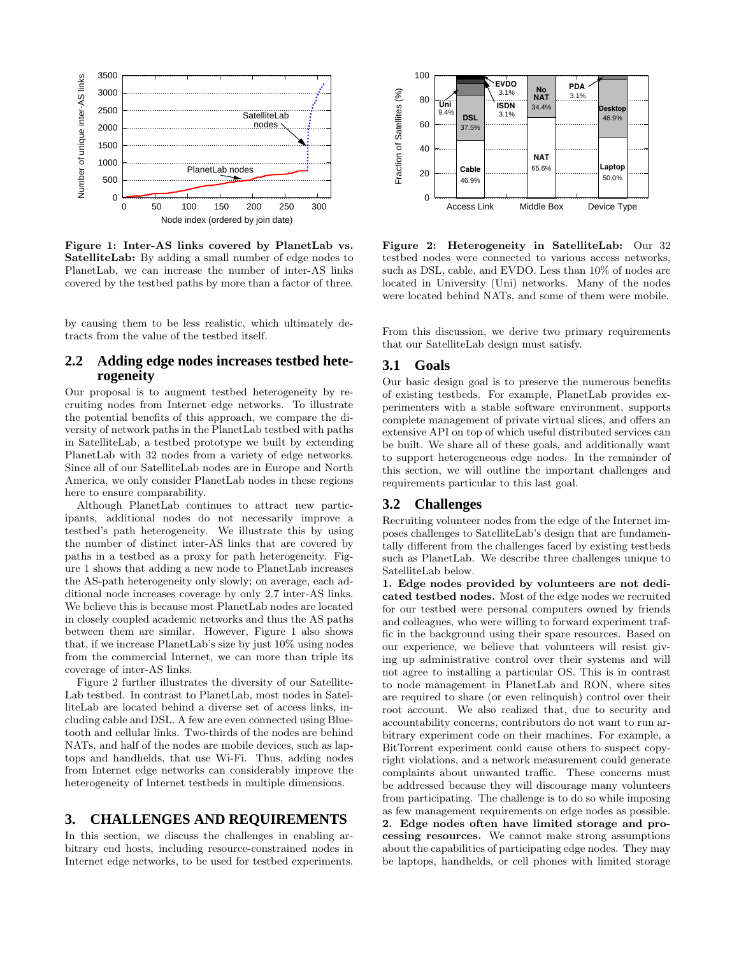

Figure 1: Inter-AS links covered by PlanetLab vs. SatelliteLab: By adding a small number of edge nodes to PlanetLab, we can increase the number of inter-AS links covered by the testbed paths by more than a factor of three.

by causing them to be less realistic, which ultimately detracts from the value of the testbed itself.

## **2.2 Adding edge nodes increases testbed heterogeneity**

Our proposal is to augment testbed heterogeneity by recruiting nodes from Internet edge networks. To illustrate the potential benefits of this approach, we compare the diversity of network paths in the PlanetLab testbed with paths in SatelliteLab, a testbed prototype we built by extending PlanetLab with 32 nodes from a variety of edge networks. Since all of our SatelliteLab nodes are in Europe and North America, we only consider PlanetLab nodes in these regions here to ensure comparability.

Although PlanetLab continues to attract new participants, additional nodes do not necessarily improve a testbed's path heterogeneity. We illustrate this by using the number of distinct inter-AS links that are covered by paths in a testbed as a proxy for path heterogeneity. Figure 1 shows that adding a new node to PlanetLab increases the AS-path heterogeneity only slowly; on average, each additional node increases coverage by only 2.7 inter-AS links. We believe this is because most PlanetLab nodes are located in closely coupled academic networks and thus the AS paths between them are similar. However, Figure 1 also shows that, if we increase PlanetLab's size by just 10% using nodes from the commercial Internet, we can more than triple its coverage of inter-AS links.

Figure 2 further illustrates the diversity of our Satellite-Lab testbed. In contrast to PlanetLab, most nodes in SatelliteLab are located behind a diverse set of access links, including cable and DSL. A few are even connected using Bluetooth and cellular links. Two-thirds of the nodes are behind NATs, and half of the nodes are mobile devices, such as laptops and handhelds, that use Wi-Fi. Thus, adding nodes from Internet edge networks can considerably improve the heterogeneity of Internet testbeds in multiple dimensions.

## **3. CHALLENGES AND REQUIREMENTS**

In this section, we discuss the challenges in enabling arbitrary end hosts, including resource-constrained nodes in Internet edge networks, to be used for testbed experiments.



Figure 2: Heterogeneity in SatelliteLab: Our 32 testbed nodes were connected to various access networks, such as DSL, cable, and EVDO. Less than 10% of nodes are located in University (Uni) networks. Many of the nodes were located behind NATs, and some of them were mobile.

From this discussion, we derive two primary requirements that our SatelliteLab design must satisfy.

#### **3.1 Goals**

Our basic design goal is to preserve the numerous benefits of existing testbeds. For example, PlanetLab provides experimenters with a stable software environment, supports complete management of private virtual slices, and offers an extensive API on top of which useful distributed services can be built. We share all of these goals, and additionally want to support heterogeneous edge nodes. In the remainder of this section, we will outline the important challenges and requirements particular to this last goal.

#### **3.2 Challenges**

Recruiting volunteer nodes from the edge of the Internet imposes challenges to SatelliteLab's design that are fundamentally different from the challenges faced by existing testbeds such as PlanetLab. We describe three challenges unique to SatelliteLab below.

1. Edge nodes provided by volunteers are not dedicated testbed nodes. Most of the edge nodes we recruited for our testbed were personal computers owned by friends and colleagues, who were willing to forward experiment traffic in the background using their spare resources. Based on our experience, we believe that volunteers will resist giving up administrative control over their systems and will not agree to installing a particular OS. This is in contrast to node management in PlanetLab and RON, where sites are required to share (or even relinquish) control over their root account. We also realized that, due to security and accountability concerns, contributors do not want to run arbitrary experiment code on their machines. For example, a BitTorrent experiment could cause others to suspect copyright violations, and a network measurement could generate complaints about unwanted traffic. These concerns must be addressed because they will discourage many volunteers from participating. The challenge is to do so while imposing as few management requirements on edge nodes as possible. 2. Edge nodes often have limited storage and processing resources. We cannot make strong assumptions about the capabilities of participating edge nodes. They may be laptops, handhelds, or cell phones with limited storage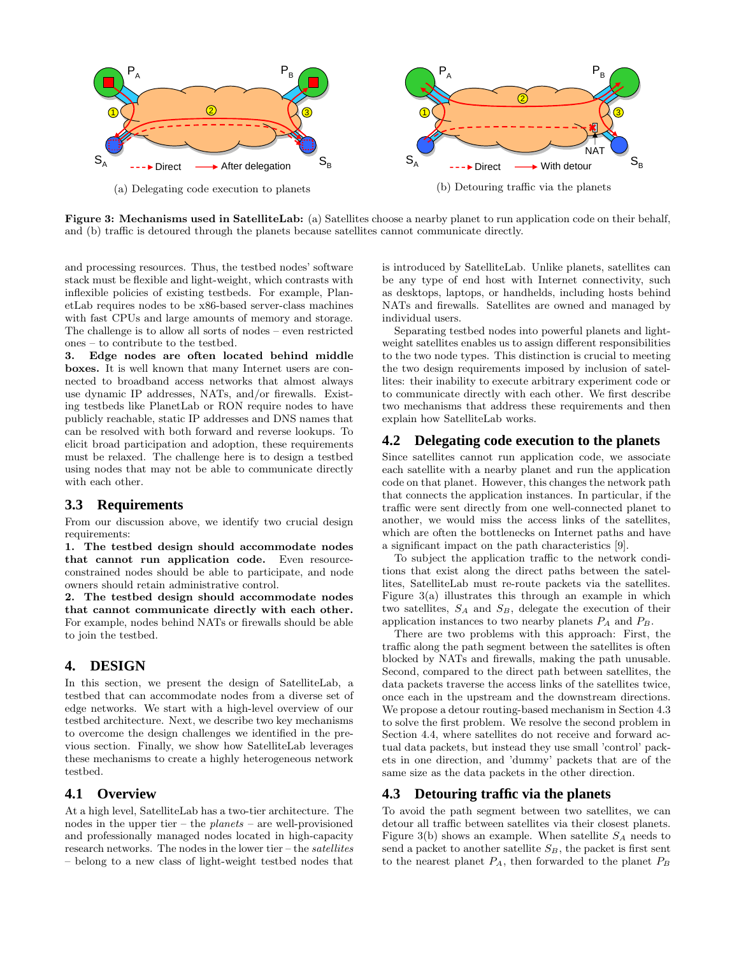

Figure 3: Mechanisms used in SatelliteLab: (a) Satellites choose a nearby planet to run application code on their behalf, and (b) traffic is detoured through the planets because satellites cannot communicate directly.

and processing resources. Thus, the testbed nodes' software stack must be flexible and light-weight, which contrasts with inflexible policies of existing testbeds. For example, PlanetLab requires nodes to be x86-based server-class machines with fast CPUs and large amounts of memory and storage. The challenge is to allow all sorts of nodes – even restricted ones – to contribute to the testbed.

3. Edge nodes are often located behind middle boxes. It is well known that many Internet users are connected to broadband access networks that almost always use dynamic IP addresses, NATs, and/or firewalls. Existing testbeds like PlanetLab or RON require nodes to have publicly reachable, static IP addresses and DNS names that can be resolved with both forward and reverse lookups. To elicit broad participation and adoption, these requirements must be relaxed. The challenge here is to design a testbed using nodes that may not be able to communicate directly with each other.

### **3.3 Requirements**

From our discussion above, we identify two crucial design requirements:

1. The testbed design should accommodate nodes that cannot run application code. Even resourceconstrained nodes should be able to participate, and node owners should retain administrative control.

2. The testbed design should accommodate nodes that cannot communicate directly with each other. For example, nodes behind NATs or firewalls should be able to join the testbed.

# **4. DESIGN**

In this section, we present the design of SatelliteLab, a testbed that can accommodate nodes from a diverse set of edge networks. We start with a high-level overview of our testbed architecture. Next, we describe two key mechanisms to overcome the design challenges we identified in the previous section. Finally, we show how SatelliteLab leverages these mechanisms to create a highly heterogeneous network testbed.

# **4.1 Overview**

At a high level, SatelliteLab has a two-tier architecture. The nodes in the upper tier – the  $planets$  – are well-provisioned and professionally managed nodes located in high-capacity research networks. The nodes in the lower tier – the satellites – belong to a new class of light-weight testbed nodes that

is introduced by SatelliteLab. Unlike planets, satellites can be any type of end host with Internet connectivity, such as desktops, laptops, or handhelds, including hosts behind NATs and firewalls. Satellites are owned and managed by individual users.

Separating testbed nodes into powerful planets and lightweight satellites enables us to assign different responsibilities to the two node types. This distinction is crucial to meeting the two design requirements imposed by inclusion of satellites: their inability to execute arbitrary experiment code or to communicate directly with each other. We first describe two mechanisms that address these requirements and then explain how SatelliteLab works.

# **4.2 Delegating code execution to the planets**

Since satellites cannot run application code, we associate each satellite with a nearby planet and run the application code on that planet. However, this changes the network path that connects the application instances. In particular, if the traffic were sent directly from one well-connected planet to another, we would miss the access links of the satellites, which are often the bottlenecks on Internet paths and have a significant impact on the path characteristics [9].

To subject the application traffic to the network conditions that exist along the direct paths between the satellites, SatelliteLab must re-route packets via the satellites. Figure 3(a) illustrates this through an example in which two satellites,  $S_A$  and  $S_B$ , delegate the execution of their application instances to two nearby planets  $P_A$  and  $P_B$ .

There are two problems with this approach: First, the traffic along the path segment between the satellites is often blocked by NATs and firewalls, making the path unusable. Second, compared to the direct path between satellites, the data packets traverse the access links of the satellites twice, once each in the upstream and the downstream directions. We propose a detour routing-based mechanism in Section 4.3 to solve the first problem. We resolve the second problem in Section 4.4, where satellites do not receive and forward actual data packets, but instead they use small 'control' packets in one direction, and 'dummy' packets that are of the same size as the data packets in the other direction.

#### **4.3 Detouring traffic via the planets**

To avoid the path segment between two satellites, we can detour all traffic between satellites via their closest planets. Figure 3(b) shows an example. When satellite  $S_A$  needs to send a packet to another satellite  $S_B$ , the packet is first sent to the nearest planet  $P_A$ , then forwarded to the planet  $P_B$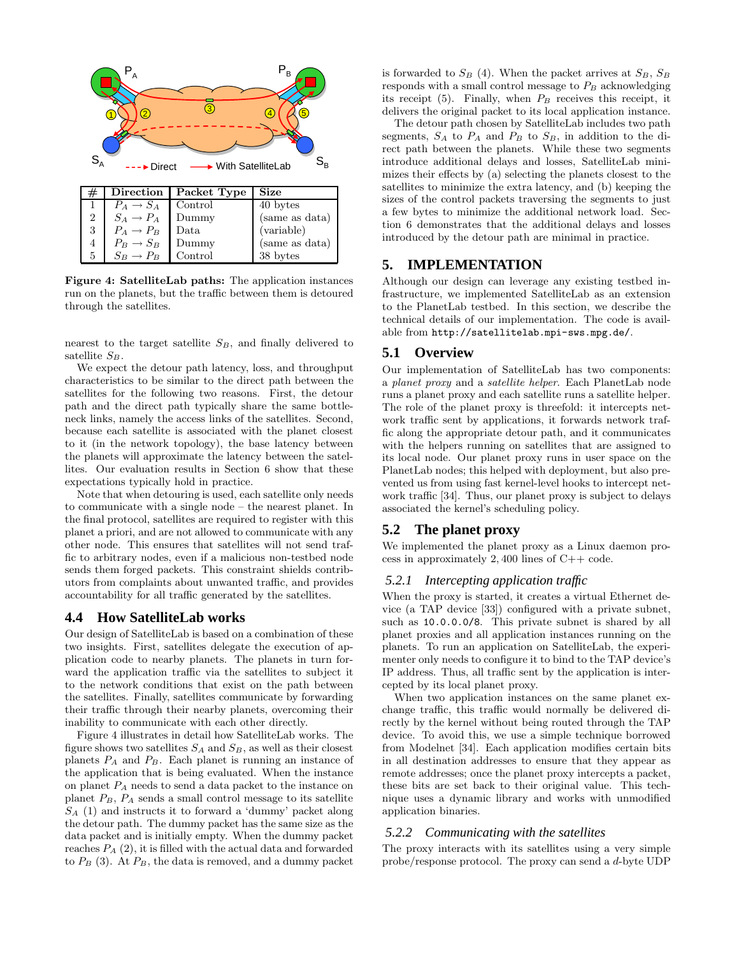

Figure 4: SatelliteLab paths: The application instances run on the planets, but the traffic between them is detoured through the satellites.

nearest to the target satellite  $S_B$ , and finally delivered to satellite  $S_B$ .

We expect the detour path latency, loss, and throughput characteristics to be similar to the direct path between the satellites for the following two reasons. First, the detour path and the direct path typically share the same bottleneck links, namely the access links of the satellites. Second, because each satellite is associated with the planet closest to it (in the network topology), the base latency between the planets will approximate the latency between the satellites. Our evaluation results in Section 6 show that these expectations typically hold in practice.

Note that when detouring is used, each satellite only needs to communicate with a single node – the nearest planet. In the final protocol, satellites are required to register with this planet a priori, and are not allowed to communicate with any other node. This ensures that satellites will not send traffic to arbitrary nodes, even if a malicious non-testbed node sends them forged packets. This constraint shields contributors from complaints about unwanted traffic, and provides accountability for all traffic generated by the satellites.

# **4.4 How SatelliteLab works**

Our design of SatelliteLab is based on a combination of these two insights. First, satellites delegate the execution of application code to nearby planets. The planets in turn forward the application traffic via the satellites to subject it to the network conditions that exist on the path between the satellites. Finally, satellites communicate by forwarding their traffic through their nearby planets, overcoming their inability to communicate with each other directly.

Figure 4 illustrates in detail how SatelliteLab works. The figure shows two satellites  $S_A$  and  $S_B$ , as well as their closest planets  $P_A$  and  $P_B$ . Each planet is running an instance of the application that is being evaluated. When the instance on planet  $P_A$  needs to send a data packet to the instance on planet  $P_B$ ,  $P_A$  sends a small control message to its satellite  $S_A$  (1) and instructs it to forward a 'dummy' packet along the detour path. The dummy packet has the same size as the data packet and is initially empty. When the dummy packet reaches  $P_A$  (2), it is filled with the actual data and forwarded to  $P_B$  (3). At  $P_B$ , the data is removed, and a dummy packet

is forwarded to  $S_B$  (4). When the packet arrives at  $S_B$ ,  $S_B$ responds with a small control message to  $P_B$  acknowledging its receipt  $(5)$ . Finally, when  $P_B$  receives this receipt, it delivers the original packet to its local application instance.

The detour path chosen by SatelliteLab includes two path segments,  $S_A$  to  $P_A$  and  $P_B$  to  $S_B$ , in addition to the direct path between the planets. While these two segments introduce additional delays and losses, SatelliteLab minimizes their effects by (a) selecting the planets closest to the satellites to minimize the extra latency, and (b) keeping the sizes of the control packets traversing the segments to just a few bytes to minimize the additional network load. Section 6 demonstrates that the additional delays and losses introduced by the detour path are minimal in practice.

# **5. IMPLEMENTATION**

Although our design can leverage any existing testbed infrastructure, we implemented SatelliteLab as an extension to the PlanetLab testbed. In this section, we describe the technical details of our implementation. The code is available from http://satellitelab.mpi-sws.mpg.de/.

# **5.1 Overview**

Our implementation of SatelliteLab has two components: a planet proxy and a satellite helper. Each PlanetLab node runs a planet proxy and each satellite runs a satellite helper. The role of the planet proxy is threefold: it intercepts network traffic sent by applications, it forwards network traffic along the appropriate detour path, and it communicates with the helpers running on satellites that are assigned to its local node. Our planet proxy runs in user space on the PlanetLab nodes; this helped with deployment, but also prevented us from using fast kernel-level hooks to intercept network traffic [34]. Thus, our planet proxy is subject to delays associated the kernel's scheduling policy.

#### **5.2 The planet proxy**

We implemented the planet proxy as a Linux daemon process in approximately 2,400 lines of  $C++$  code.

#### *5.2.1 Intercepting application traffic*

When the proxy is started, it creates a virtual Ethernet device (a TAP device [33]) configured with a private subnet, such as 10.0.0.0/8. This private subnet is shared by all planet proxies and all application instances running on the planets. To run an application on SatelliteLab, the experimenter only needs to configure it to bind to the TAP device's IP address. Thus, all traffic sent by the application is intercepted by its local planet proxy.

When two application instances on the same planet exchange traffic, this traffic would normally be delivered directly by the kernel without being routed through the TAP device. To avoid this, we use a simple technique borrowed from Modelnet [34]. Each application modifies certain bits in all destination addresses to ensure that they appear as remote addresses; once the planet proxy intercepts a packet, these bits are set back to their original value. This technique uses a dynamic library and works with unmodified application binaries.

#### *5.2.2 Communicating with the satellites*

The proxy interacts with its satellites using a very simple probe/response protocol. The proxy can send a d-byte UDP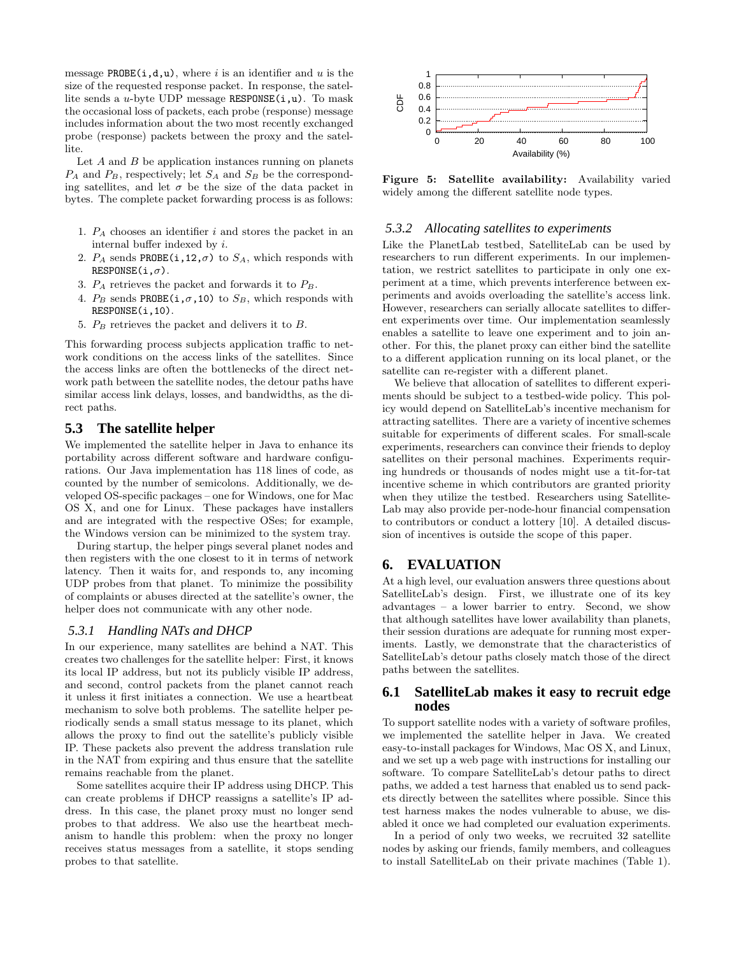message PROBE $(i, d, u)$ , where i is an identifier and u is the size of the requested response packet. In response, the satellite sends a *u*-byte UDP message RESPONSE $(i, u)$ . To mask the occasional loss of packets, each probe (response) message includes information about the two most recently exchanged probe (response) packets between the proxy and the satellite.

Let  $A$  and  $B$  be application instances running on planets  $P_A$  and  $P_B$ , respectively; let  $S_A$  and  $S_B$  be the corresponding satellites, and let  $\sigma$  be the size of the data packet in bytes. The complete packet forwarding process is as follows:

- 1.  $P_A$  chooses an identifier i and stores the packet in an internal buffer indexed by i.
- 2.  $P_A$  sends PROBE(i,12, $\sigma$ ) to  $S_A$ , which responds with RESPONSE $(i, \sigma)$ .
- 3.  $P_A$  retrieves the packet and forwards it to  $P_B$ .
- 4.  $P_B$  sends PROBE(i, $\sigma$ ,10) to  $S_B$ , which responds with RESPONSE(i,10).
- 5.  $P_B$  retrieves the packet and delivers it to  $B$ .

This forwarding process subjects application traffic to network conditions on the access links of the satellites. Since the access links are often the bottlenecks of the direct network path between the satellite nodes, the detour paths have similar access link delays, losses, and bandwidths, as the direct paths.

# **5.3 The satellite helper**

We implemented the satellite helper in Java to enhance its portability across different software and hardware configurations. Our Java implementation has 118 lines of code, as counted by the number of semicolons. Additionally, we developed OS-specific packages – one for Windows, one for Mac OS X, and one for Linux. These packages have installers and are integrated with the respective OSes; for example, the Windows version can be minimized to the system tray.

During startup, the helper pings several planet nodes and then registers with the one closest to it in terms of network latency. Then it waits for, and responds to, any incoming UDP probes from that planet. To minimize the possibility of complaints or abuses directed at the satellite's owner, the helper does not communicate with any other node.

### *5.3.1 Handling NATs and DHCP*

In our experience, many satellites are behind a NAT. This creates two challenges for the satellite helper: First, it knows its local IP address, but not its publicly visible IP address, and second, control packets from the planet cannot reach it unless it first initiates a connection. We use a heartbeat mechanism to solve both problems. The satellite helper periodically sends a small status message to its planet, which allows the proxy to find out the satellite's publicly visible IP. These packets also prevent the address translation rule in the NAT from expiring and thus ensure that the satellite remains reachable from the planet.

Some satellites acquire their IP address using DHCP. This can create problems if DHCP reassigns a satellite's IP address. In this case, the planet proxy must no longer send probes to that address. We also use the heartbeat mechanism to handle this problem: when the proxy no longer receives status messages from a satellite, it stops sending probes to that satellite.



Figure 5: Satellite availability: Availability varied widely among the different satellite node types.

#### *5.3.2 Allocating satellites to experiments*

Like the PlanetLab testbed, SatelliteLab can be used by researchers to run different experiments. In our implementation, we restrict satellites to participate in only one experiment at a time, which prevents interference between experiments and avoids overloading the satellite's access link. However, researchers can serially allocate satellites to different experiments over time. Our implementation seamlessly enables a satellite to leave one experiment and to join another. For this, the planet proxy can either bind the satellite to a different application running on its local planet, or the satellite can re-register with a different planet.

We believe that allocation of satellites to different experiments should be subject to a testbed-wide policy. This policy would depend on SatelliteLab's incentive mechanism for attracting satellites. There are a variety of incentive schemes suitable for experiments of different scales. For small-scale experiments, researchers can convince their friends to deploy satellites on their personal machines. Experiments requiring hundreds or thousands of nodes might use a tit-for-tat incentive scheme in which contributors are granted priority when they utilize the testbed. Researchers using Satellite-Lab may also provide per-node-hour financial compensation to contributors or conduct a lottery [10]. A detailed discussion of incentives is outside the scope of this paper.

# **6. EVALUATION**

At a high level, our evaluation answers three questions about SatelliteLab's design. First, we illustrate one of its key advantages – a lower barrier to entry. Second, we show that although satellites have lower availability than planets, their session durations are adequate for running most experiments. Lastly, we demonstrate that the characteristics of SatelliteLab's detour paths closely match those of the direct paths between the satellites.

# **6.1 SatelliteLab makes it easy to recruit edge nodes**

To support satellite nodes with a variety of software profiles, we implemented the satellite helper in Java. We created easy-to-install packages for Windows, Mac OS X, and Linux, and we set up a web page with instructions for installing our software. To compare SatelliteLab's detour paths to direct paths, we added a test harness that enabled us to send packets directly between the satellites where possible. Since this test harness makes the nodes vulnerable to abuse, we disabled it once we had completed our evaluation experiments.

In a period of only two weeks, we recruited 32 satellite nodes by asking our friends, family members, and colleagues to install SatelliteLab on their private machines (Table 1).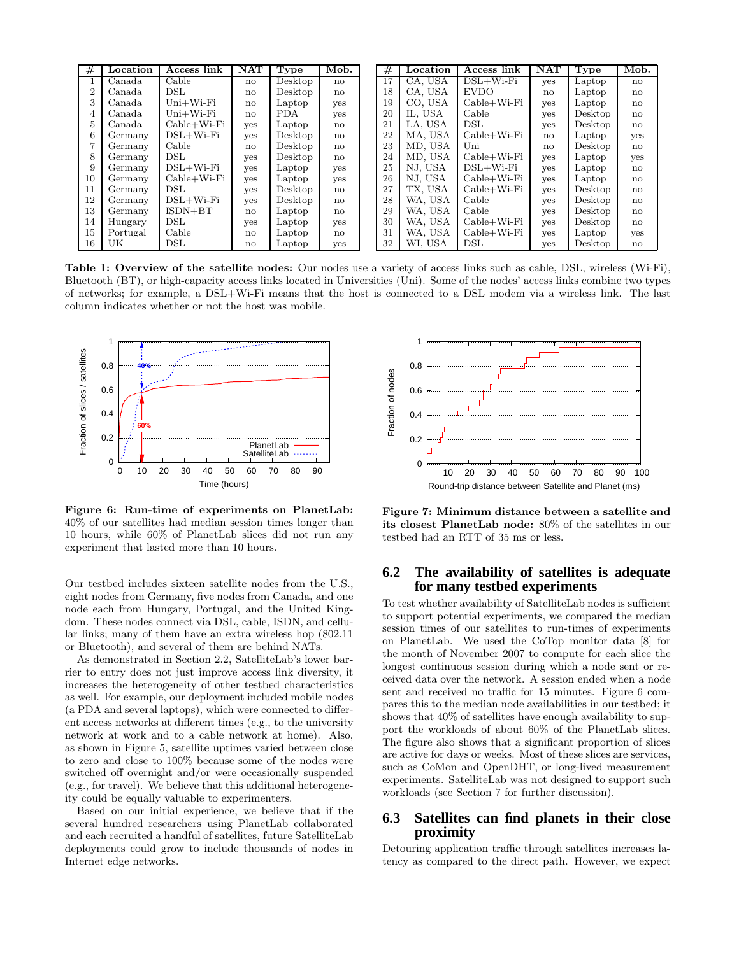| #              | Location | Access link    | <b>NAT</b>   | Type    | Mob.       | #  | Location | Access link    | <b>NAT</b>   | Type    | Mob.                   |
|----------------|----------|----------------|--------------|---------|------------|----|----------|----------------|--------------|---------|------------------------|
|                | Canada   | Cable          | no           | Desktop | no         | 17 | CA. USA  | $DSL + Wi$ -Fi | <b>ves</b>   | Laptop  | no                     |
| $\overline{2}$ | Canada   | $\rm{DSL}$     | no           | Desktop | no         | 18 | CA, USA  | <b>EVDO</b>    | $\mathbf{n}$ | Laptop  | $\mathbf{n}$           |
| 3              | Canada   | $Uni+Wi-Fi$    | no           | Laptop  | yes        | 19 | CO, USA  | $Cable+Wi-Fi$  | <b>ves</b>   | Laptop  | $\mathbf{n}$           |
| 4              | Canada   | $Uni+Wi-Fi$    | no           | PDA.    | ves        | 20 | IL. USA  | Cable          | ves          | Desktop | no                     |
| 5              | Canada   | $Cable+Wi-Fi$  | <b>ves</b>   | Laptop  | no         | 21 | LA, USA  | $\rm{DSL}$     | yes          | Desktop | no                     |
| 6              | Germany  | $DSL+Wi-Fi$    | <b>ves</b>   | Desktop | no         | 22 | MA, USA  | $Cable+Wi-Fi$  | $\mathbf{n}$ | Laptop  | yes                    |
|                | Germany  | Cable          | no           | Desktop | no         | 23 | MD. USA  | Uni            | no           | Desktop | $\mathbf{n}\mathbf{o}$ |
| 8              | Germany  | DSL            | <b>ves</b>   | Desktop | no         | 24 | MD, USA  | $Cable+Wi-Fi$  | yes          | Laptop  | yes                    |
| 9              | Germany  | $DSL + Wi$ -Fi | <b>ves</b>   | Laptop  | yes        | 25 | NJ. USA  | $DSL+Wi-Fi$    | <b>ves</b>   | Laptop  | no                     |
| 10             | Germany  | $Cable+Wi-Fi$  | <b>ves</b>   | Laptop  | <b>ves</b> | 26 | NJ, USA  | $Cable+Wi-Fi$  | <b>ves</b>   | Laptop  | no                     |
| 11             | Germany  | <b>DSL</b>     | <b>ves</b>   | Desktop | no         | 27 | TX, USA  | $Cable+Wi-Fi$  | yes          | Desktop | no                     |
| 12             | Germany  | $DSL+Wi-Fi$    | <b>ves</b>   | Desktop | no         | 28 | WA, USA  | Cable          | yes          | Desktop | $\mathbf{n}\mathbf{o}$ |
| 13             | Germany  | $ISDN+BT$      | $\mathbf{n}$ | Laptop  | no         | 29 | WA, USA  | Cable          | yes          | Desktop | $\mathbf{n}$           |
| 14             | Hungary  | $_{\rm DSL}$   | <b>ves</b>   | Laptop  | yes        | 30 | WA. USA  | $Cable+Wi-Fi$  | <b>ves</b>   | Desktop | no                     |
| 15             | Portugal | Cable          | $\mathbf{n}$ | Laptop  | no         | 31 | WA, USA  | $Cable+Wi-Fi$  | ves          | Laptop  | yes                    |
| 16             | UK       | $\rm{DSL}$     | no           | Laptop  | yes        | 32 | WI. USA  | $\rm{DSL}$     | <b>ves</b>   | Desktop | no                     |

Table 1: Overview of the satellite nodes: Our nodes use a variety of access links such as cable, DSL, wireless (Wi-Fi), Bluetooth (BT), or high-capacity access links located in Universities (Uni). Some of the nodes' access links combine two types of networks; for example, a DSL+Wi-Fi means that the host is connected to a DSL modem via a wireless link. The last column indicates whether or not the host was mobile.



Figure 6: Run-time of experiments on PlanetLab: 40% of our satellites had median session times longer than 10 hours, while 60% of PlanetLab slices did not run any experiment that lasted more than 10 hours.

Our testbed includes sixteen satellite nodes from the U.S., eight nodes from Germany, five nodes from Canada, and one node each from Hungary, Portugal, and the United Kingdom. These nodes connect via DSL, cable, ISDN, and cellular links; many of them have an extra wireless hop (802.11 or Bluetooth), and several of them are behind NATs.

As demonstrated in Section 2.2, SatelliteLab's lower barrier to entry does not just improve access link diversity, it increases the heterogeneity of other testbed characteristics as well. For example, our deployment included mobile nodes (a PDA and several laptops), which were connected to different access networks at different times (e.g., to the university network at work and to a cable network at home). Also, as shown in Figure 5, satellite uptimes varied between close to zero and close to 100% because some of the nodes were switched off overnight and/or were occasionally suspended (e.g., for travel). We believe that this additional heterogeneity could be equally valuable to experimenters.

Based on our initial experience, we believe that if the several hundred researchers using PlanetLab collaborated and each recruited a handful of satellites, future SatelliteLab deployments could grow to include thousands of nodes in Internet edge networks.



Figure 7: Minimum distance between a satellite and its closest PlanetLab node: 80% of the satellites in our testbed had an RTT of 35 ms or less.

# **6.2 The availability of satellites is adequate for many testbed experiments**

To test whether availability of SatelliteLab nodes is sufficient to support potential experiments, we compared the median session times of our satellites to run-times of experiments on PlanetLab. We used the CoTop monitor data [8] for the month of November 2007 to compute for each slice the longest continuous session during which a node sent or received data over the network. A session ended when a node sent and received no traffic for 15 minutes. Figure 6 compares this to the median node availabilities in our testbed; it shows that 40% of satellites have enough availability to support the workloads of about 60% of the PlanetLab slices. The figure also shows that a significant proportion of slices are active for days or weeks. Most of these slices are services, such as CoMon and OpenDHT, or long-lived measurement experiments. SatelliteLab was not designed to support such workloads (see Section 7 for further discussion).

# **6.3 Satellites can find planets in their close proximity**

Detouring application traffic through satellites increases latency as compared to the direct path. However, we expect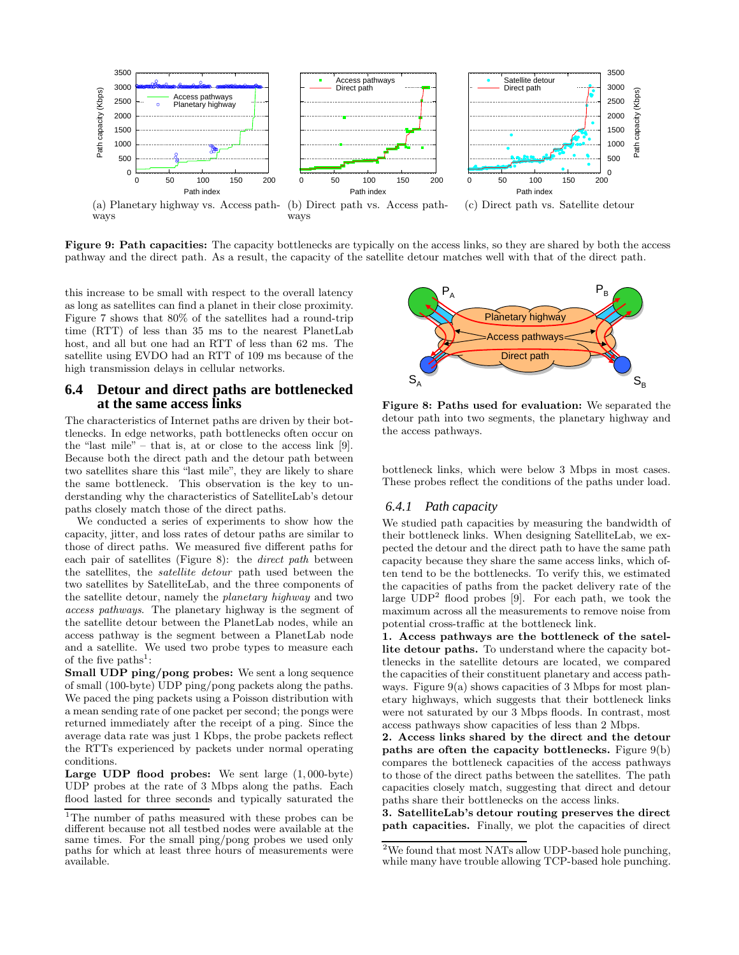

Figure 9: Path capacities: The capacity bottlenecks are typically on the access links, so they are shared by both the access pathway and the direct path. As a result, the capacity of the satellite detour matches well with that of the direct path.

this increase to be small with respect to the overall latency as long as satellites can find a planet in their close proximity. Figure 7 shows that 80% of the satellites had a round-trip time (RTT) of less than 35 ms to the nearest PlanetLab host, and all but one had an RTT of less than 62 ms. The satellite using EVDO had an RTT of 109 ms because of the high transmission delays in cellular networks.

# **6.4 Detour and direct paths are bottlenecked at the same access links**

The characteristics of Internet paths are driven by their bottlenecks. In edge networks, path bottlenecks often occur on the "last mile" – that is, at or close to the access link [9]. Because both the direct path and the detour path between two satellites share this "last mile", they are likely to share the same bottleneck. This observation is the key to understanding why the characteristics of SatelliteLab's detour paths closely match those of the direct paths.

We conducted a series of experiments to show how the capacity, jitter, and loss rates of detour paths are similar to those of direct paths. We measured five different paths for each pair of satellites (Figure 8): the *direct path* between the satellites, the satellite detour path used between the two satellites by SatelliteLab, and the three components of the satellite detour, namely the planetary highway and two access pathways. The planetary highway is the segment of the satellite detour between the PlanetLab nodes, while an access pathway is the segment between a PlanetLab node and a satellite. We used two probe types to measure each of the five  $\text{paths}^1$ :

Small UDP ping/pong probes: We sent a long sequence of small (100-byte) UDP ping/pong packets along the paths. We paced the ping packets using a Poisson distribution with a mean sending rate of one packet per second; the pongs were returned immediately after the receipt of a ping. Since the average data rate was just 1 Kbps, the probe packets reflect the RTTs experienced by packets under normal operating conditions.

**Large UDP flood probes:** We sent large  $(1,000$ -byte) UDP probes at the rate of 3 Mbps along the paths. Each flood lasted for three seconds and typically saturated the



Figure 8: Paths used for evaluation: We separated the detour path into two segments, the planetary highway and the access pathways.

bottleneck links, which were below 3 Mbps in most cases. These probes reflect the conditions of the paths under load.

#### *6.4.1 Path capacity*

We studied path capacities by measuring the bandwidth of their bottleneck links. When designing SatelliteLab, we expected the detour and the direct path to have the same path capacity because they share the same access links, which often tend to be the bottlenecks. To verify this, we estimated the capacities of paths from the packet delivery rate of the large  $\text{UDP}^2$  flood probes [9]. For each path, we took the maximum across all the measurements to remove noise from potential cross-traffic at the bottleneck link.

1. Access pathways are the bottleneck of the satellite detour paths. To understand where the capacity bottlenecks in the satellite detours are located, we compared the capacities of their constituent planetary and access pathways. Figure 9(a) shows capacities of 3 Mbps for most planetary highways, which suggests that their bottleneck links were not saturated by our 3 Mbps floods. In contrast, most access pathways show capacities of less than 2 Mbps.

2. Access links shared by the direct and the detour paths are often the capacity bottlenecks. Figure 9(b) compares the bottleneck capacities of the access pathways to those of the direct paths between the satellites. The path capacities closely match, suggesting that direct and detour paths share their bottlenecks on the access links.

3. SatelliteLab's detour routing preserves the direct path capacities. Finally, we plot the capacities of direct

<sup>&</sup>lt;sup>1</sup>The number of paths measured with these probes can be different because not all testbed nodes were available at the same times. For the small ping/pong probes we used only paths for which at least three hours of measurements were available.

<sup>2</sup>We found that most NATs allow UDP-based hole punching, while many have trouble allowing TCP-based hole punching.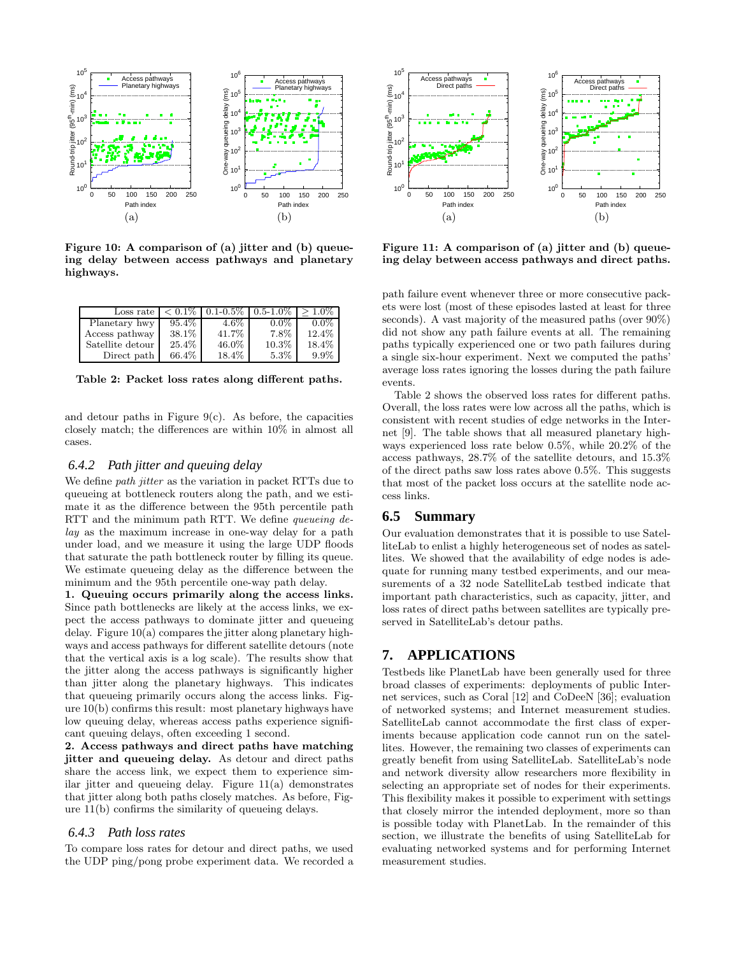

Figure 10: A comparison of (a) jitter and (b) queueing delay between access pathways and planetary highways.

| Loss rate        | $< 0.1\%$ | $0.1 - 0.5\%$   0.5-1.0\% |         | $\cdot$ 1.0% |
|------------------|-----------|---------------------------|---------|--------------|
| Planetary hwy    | 95.4%     | $4.6\%$                   | $0.0\%$ | $0.0\%$      |
| Access pathway   | 38.1\%    | 41.7%                     | 7.8%    | 12.4%        |
| Satellite detour | 25.4%     | 46.0%                     | 10.3%   | 18.4%        |
| Direct path      | 66.4%     | $18.4\%$                  | 5.3%    | $9.9\%$      |

Table 2: Packet loss rates along different paths.

and detour paths in Figure  $9(c)$ . As before, the capacities closely match; the differences are within 10% in almost all cases.

# *6.4.2 Path jitter and queuing delay*

We define *path jitter* as the variation in packet RTTs due to queueing at bottleneck routers along the path, and we estimate it as the difference between the 95th percentile path RTT and the minimum path RTT. We define *queueing de*lay as the maximum increase in one-way delay for a path under load, and we measure it using the large UDP floods that saturate the path bottleneck router by filling its queue. We estimate queueing delay as the difference between the minimum and the 95th percentile one-way path delay.

1. Queuing occurs primarily along the access links. Since path bottlenecks are likely at the access links, we expect the access pathways to dominate jitter and queueing delay. Figure 10(a) compares the jitter along planetary highways and access pathways for different satellite detours (note that the vertical axis is a log scale). The results show that the jitter along the access pathways is significantly higher than jitter along the planetary highways. This indicates that queueing primarily occurs along the access links. Figure 10(b) confirms this result: most planetary highways have low queuing delay, whereas access paths experience significant queuing delays, often exceeding 1 second.

2. Access pathways and direct paths have matching jitter and queueing delay. As detour and direct paths share the access link, we expect them to experience similar jitter and queueing delay. Figure 11(a) demonstrates that jitter along both paths closely matches. As before, Figure 11(b) confirms the similarity of queueing delays.

#### *6.4.3 Path loss rates*

To compare loss rates for detour and direct paths, we used the UDP ping/pong probe experiment data. We recorded a



Figure 11: A comparison of (a) jitter and (b) queueing delay between access pathways and direct paths.

path failure event whenever three or more consecutive packets were lost (most of these episodes lasted at least for three seconds). A vast majority of the measured paths (over 90%) did not show any path failure events at all. The remaining paths typically experienced one or two path failures during a single six-hour experiment. Next we computed the paths' average loss rates ignoring the losses during the path failure events.

Table 2 shows the observed loss rates for different paths. Overall, the loss rates were low across all the paths, which is consistent with recent studies of edge networks in the Internet [9]. The table shows that all measured planetary highways experienced loss rate below 0.5%, while 20.2% of the access pathways, 28.7% of the satellite detours, and 15.3% of the direct paths saw loss rates above 0.5%. This suggests that most of the packet loss occurs at the satellite node access links.

# **6.5 Summary**

Our evaluation demonstrates that it is possible to use SatelliteLab to enlist a highly heterogeneous set of nodes as satellites. We showed that the availability of edge nodes is adequate for running many testbed experiments, and our measurements of a 32 node SatelliteLab testbed indicate that important path characteristics, such as capacity, jitter, and loss rates of direct paths between satellites are typically preserved in SatelliteLab's detour paths.

# **7. APPLICATIONS**

Testbeds like PlanetLab have been generally used for three broad classes of experiments: deployments of public Internet services, such as Coral [12] and CoDeeN [36]; evaluation of networked systems; and Internet measurement studies. SatelliteLab cannot accommodate the first class of experiments because application code cannot run on the satellites. However, the remaining two classes of experiments can greatly benefit from using SatelliteLab. SatelliteLab's node and network diversity allow researchers more flexibility in selecting an appropriate set of nodes for their experiments. This flexibility makes it possible to experiment with settings that closely mirror the intended deployment, more so than is possible today with PlanetLab. In the remainder of this section, we illustrate the benefits of using SatelliteLab for evaluating networked systems and for performing Internet measurement studies.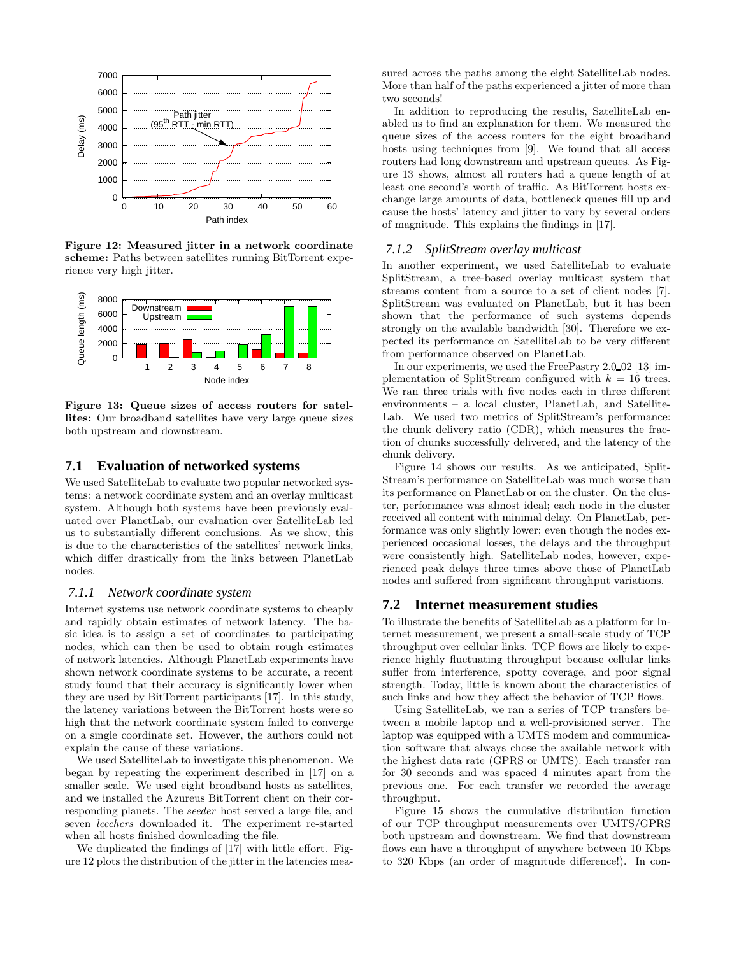

Figure 12: Measured jitter in a network coordinate scheme: Paths between satellites running BitTorrent experience very high jitter.



Figure 13: Queue sizes of access routers for satellites: Our broadband satellites have very large queue sizes both upstream and downstream.

## **7.1 Evaluation of networked systems**

We used SatelliteLab to evaluate two popular networked systems: a network coordinate system and an overlay multicast system. Although both systems have been previously evaluated over PlanetLab, our evaluation over SatelliteLab led us to substantially different conclusions. As we show, this is due to the characteristics of the satellites' network links, which differ drastically from the links between PlanetLab nodes.

#### *7.1.1 Network coordinate system*

Internet systems use network coordinate systems to cheaply and rapidly obtain estimates of network latency. The basic idea is to assign a set of coordinates to participating nodes, which can then be used to obtain rough estimates of network latencies. Although PlanetLab experiments have shown network coordinate systems to be accurate, a recent study found that their accuracy is significantly lower when they are used by BitTorrent participants [17]. In this study, the latency variations between the BitTorrent hosts were so high that the network coordinate system failed to converge on a single coordinate set. However, the authors could not explain the cause of these variations.

We used SatelliteLab to investigate this phenomenon. We began by repeating the experiment described in [17] on a smaller scale. We used eight broadband hosts as satellites, and we installed the Azureus BitTorrent client on their corresponding planets. The seeder host served a large file, and seven leechers downloaded it. The experiment re-started when all hosts finished downloading the file.

We duplicated the findings of [17] with little effort. Figure 12 plots the distribution of the jitter in the latencies measured across the paths among the eight SatelliteLab nodes. More than half of the paths experienced a jitter of more than two seconds!

In addition to reproducing the results, SatelliteLab enabled us to find an explanation for them. We measured the queue sizes of the access routers for the eight broadband hosts using techniques from [9]. We found that all access routers had long downstream and upstream queues. As Figure 13 shows, almost all routers had a queue length of at least one second's worth of traffic. As BitTorrent hosts exchange large amounts of data, bottleneck queues fill up and cause the hosts' latency and jitter to vary by several orders of magnitude. This explains the findings in [17].

#### *7.1.2 SplitStream overlay multicast*

In another experiment, we used SatelliteLab to evaluate SplitStream, a tree-based overlay multicast system that streams content from a source to a set of client nodes [7]. SplitStream was evaluated on PlanetLab, but it has been shown that the performance of such systems depends strongly on the available bandwidth [30]. Therefore we expected its performance on SatelliteLab to be very different from performance observed on PlanetLab.

In our experiments, we used the FreePastry 2.0 02 [13] implementation of SplitStream configured with  $k = 16$  trees. We ran three trials with five nodes each in three different environments – a local cluster, PlanetLab, and Satellite-Lab. We used two metrics of SplitStream's performance: the chunk delivery ratio (CDR), which measures the fraction of chunks successfully delivered, and the latency of the chunk delivery.

Figure 14 shows our results. As we anticipated, Split-Stream's performance on SatelliteLab was much worse than its performance on PlanetLab or on the cluster. On the cluster, performance was almost ideal; each node in the cluster received all content with minimal delay. On PlanetLab, performance was only slightly lower; even though the nodes experienced occasional losses, the delays and the throughput were consistently high. SatelliteLab nodes, however, experienced peak delays three times above those of PlanetLab nodes and suffered from significant throughput variations.

#### **7.2 Internet measurement studies**

To illustrate the benefits of SatelliteLab as a platform for Internet measurement, we present a small-scale study of TCP throughput over cellular links. TCP flows are likely to experience highly fluctuating throughput because cellular links suffer from interference, spotty coverage, and poor signal strength. Today, little is known about the characteristics of such links and how they affect the behavior of TCP flows.

Using SatelliteLab, we ran a series of TCP transfers between a mobile laptop and a well-provisioned server. The laptop was equipped with a UMTS modem and communication software that always chose the available network with the highest data rate (GPRS or UMTS). Each transfer ran for 30 seconds and was spaced 4 minutes apart from the previous one. For each transfer we recorded the average throughput.

Figure 15 shows the cumulative distribution function of our TCP throughput measurements over UMTS/GPRS both upstream and downstream. We find that downstream flows can have a throughput of anywhere between 10 Kbps to 320 Kbps (an order of magnitude difference!). In con-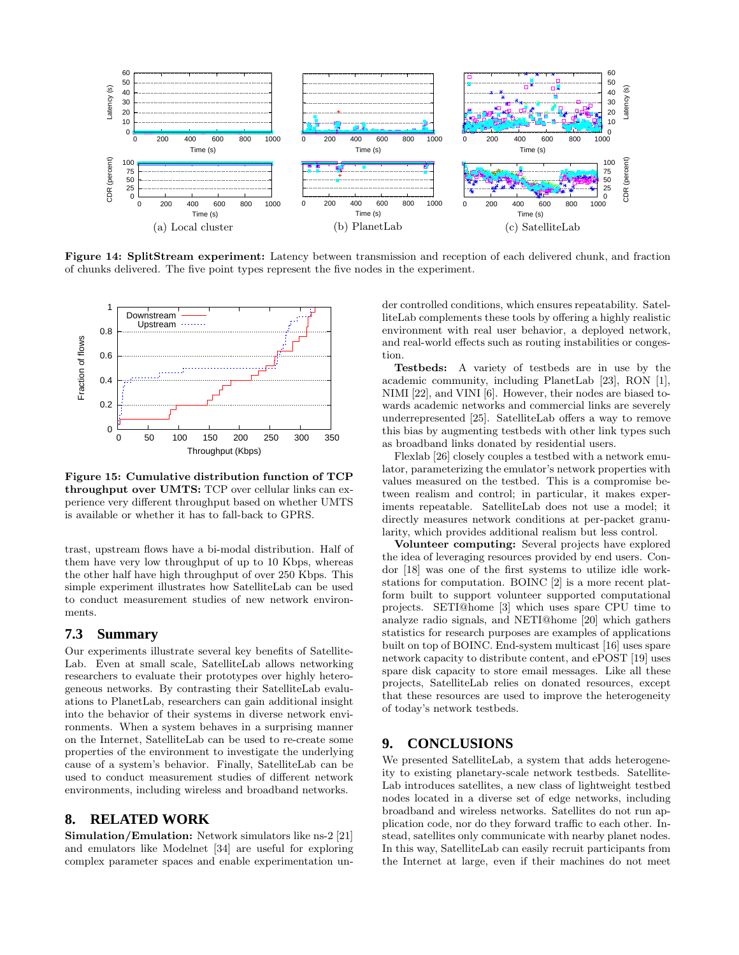

Figure 14: SplitStream experiment: Latency between transmission and reception of each delivered chunk, and fraction of chunks delivered. The five point types represent the five nodes in the experiment.



Figure 15: Cumulative distribution function of TCP throughput over UMTS: TCP over cellular links can experience very different throughput based on whether UMTS is available or whether it has to fall-back to GPRS.

trast, upstream flows have a bi-modal distribution. Half of them have very low throughput of up to 10 Kbps, whereas the other half have high throughput of over 250 Kbps. This simple experiment illustrates how SatelliteLab can be used to conduct measurement studies of new network environments.

# **7.3 Summary**

Our experiments illustrate several key benefits of Satellite-Lab. Even at small scale, SatelliteLab allows networking researchers to evaluate their prototypes over highly heterogeneous networks. By contrasting their SatelliteLab evaluations to PlanetLab, researchers can gain additional insight into the behavior of their systems in diverse network environments. When a system behaves in a surprising manner on the Internet, SatelliteLab can be used to re-create some properties of the environment to investigate the underlying cause of a system's behavior. Finally, SatelliteLab can be used to conduct measurement studies of different network environments, including wireless and broadband networks.

# **8. RELATED WORK**

Simulation/Emulation: Network simulators like ns-2 [21] and emulators like Modelnet [34] are useful for exploring complex parameter spaces and enable experimentation un-

der controlled conditions, which ensures repeatability. SatelliteLab complements these tools by offering a highly realistic environment with real user behavior, a deployed network, and real-world effects such as routing instabilities or congestion.

Testbeds: A variety of testbeds are in use by the academic community, including PlanetLab [23], RON [1], NIMI [22], and VINI [6]. However, their nodes are biased towards academic networks and commercial links are severely underrepresented [25]. SatelliteLab offers a way to remove this bias by augmenting testbeds with other link types such as broadband links donated by residential users.

Flexlab [26] closely couples a testbed with a network emulator, parameterizing the emulator's network properties with values measured on the testbed. This is a compromise between realism and control; in particular, it makes experiments repeatable. SatelliteLab does not use a model; it directly measures network conditions at per-packet granularity, which provides additional realism but less control.

Volunteer computing: Several projects have explored the idea of leveraging resources provided by end users. Condor [18] was one of the first systems to utilize idle workstations for computation. BOINC [2] is a more recent platform built to support volunteer supported computational projects. SETI@home [3] which uses spare CPU time to analyze radio signals, and NETI@home [20] which gathers statistics for research purposes are examples of applications built on top of BOINC. End-system multicast [16] uses spare network capacity to distribute content, and ePOST [19] uses spare disk capacity to store email messages. Like all these projects, SatelliteLab relies on donated resources, except that these resources are used to improve the heterogeneity of today's network testbeds.

# **9. CONCLUSIONS**

We presented SatelliteLab, a system that adds heterogeneity to existing planetary-scale network testbeds. Satellite-Lab introduces satellites, a new class of lightweight testbed nodes located in a diverse set of edge networks, including broadband and wireless networks. Satellites do not run application code, nor do they forward traffic to each other. Instead, satellites only communicate with nearby planet nodes. In this way, SatelliteLab can easily recruit participants from the Internet at large, even if their machines do not meet